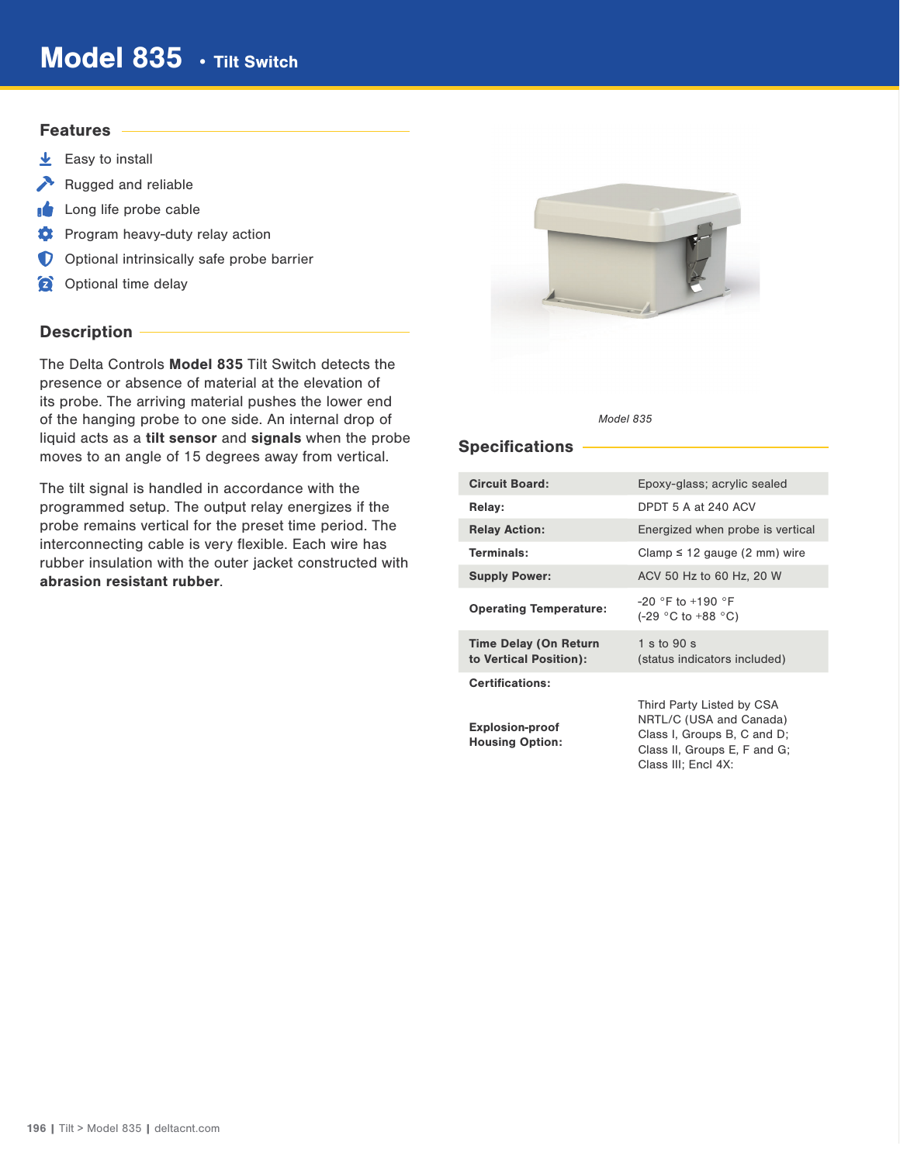# Model 835 · Tilt Switch

## **Features**

- $\overline{\mathbf{\Psi}}$  Easy to install
- Rugged and reliable
- Long life probe cable
- **C** Program heavy-duty relay action
- **O** Optional intrinsically safe probe barrier
- **Optional time delay**

## Description -

The Delta Controls Model 835 Tilt Switch detects the presence or absence of material at the elevation of its probe. The arriving material pushes the lower end of the hanging probe to one side. An internal drop of liquid acts as a tilt sensor and signals when the probe moves to an angle of 15 degrees away from vertical.

The tilt signal is handled in accordance with the programmed setup. The output relay energizes if the probe remains vertical for the preset time period. The interconnecting cable is very flexible. Each wire has rubber insulation with the outer jacket constructed with abrasion resistant rubber.



#### Model 835

## Specifications

| <b>Circuit Board:</b>                                  | Epoxy-glass; acrylic sealed                                                                                                                |  |  |  |
|--------------------------------------------------------|--------------------------------------------------------------------------------------------------------------------------------------------|--|--|--|
| Relay:                                                 | DPDT 5 A at 240 ACV                                                                                                                        |  |  |  |
| <b>Relay Action:</b>                                   | Energized when probe is vertical                                                                                                           |  |  |  |
| Terminals:                                             | Clamp $\leq$ 12 gauge (2 mm) wire                                                                                                          |  |  |  |
| <b>Supply Power:</b>                                   | ACV 50 Hz to 60 Hz, 20 W                                                                                                                   |  |  |  |
| <b>Operating Temperature:</b>                          | $-20$ °F to $+190$ °F<br>$(-29 \degree C \text{ to } +88 \degree C)$                                                                       |  |  |  |
| <b>Time Delay (On Return</b><br>to Vertical Position): | 1 s to $90 s$<br>(status indicators included)                                                                                              |  |  |  |
| <b>Certifications:</b>                                 |                                                                                                                                            |  |  |  |
| <b>Explosion-proof</b><br><b>Housing Option:</b>       | Third Party Listed by CSA<br>NRTL/C (USA and Canada)<br>Class I, Groups B, C and D;<br>Class II, Groups E, F and G;<br>Class III; Encl 4X: |  |  |  |